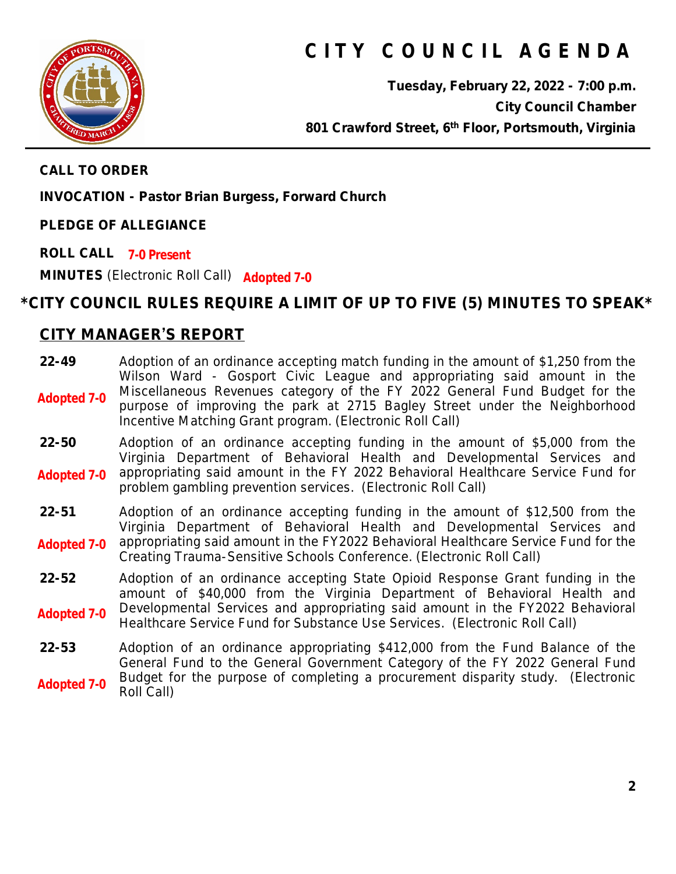

# **C I T Y C O U N C I L A G E N D A**

**Tuesday, February 22, 2022 - 7:00 p.m. City Council Chamber 801 Crawford Street, 6th Floor, Portsmouth, Virginia**

**CALL TO ORDER**

**INVOCATION - Pastor Brian Burgess, Forward Church**

**PLEDGE OF ALLEGIANCE**

**ROLL CALL 7-0 Present MINUTES** (Electronic Roll Call) **Adopted 7-0**

# **\*CITY COUNCIL RULES REQUIRE A LIMIT OF UP TO FIVE (5) MINUTES TO SPEAK\***

### **CITY MANAGER'S REPORT**

| $22 - 49$<br><b>Adopted 7-0</b> | Adoption of an ordinance accepting match funding in the amount of \$1,250 from the<br>Wilson Ward - Gosport Civic League and appropriating said amount in the<br>Miscellaneous Revenues category of the FY 2022 General Fund Budget for the<br>purpose of improving the park at 2715 Bagley Street under the Neighborhood<br>Incentive Matching Grant program. (Electronic Roll Call) |
|---------------------------------|---------------------------------------------------------------------------------------------------------------------------------------------------------------------------------------------------------------------------------------------------------------------------------------------------------------------------------------------------------------------------------------|
| $22 - 50$<br><b>Adopted 7-0</b> | Adoption of an ordinance accepting funding in the amount of \$5,000 from the<br>Virginia Department of Behavioral Health and Developmental Services and<br>appropriating said amount in the FY 2022 Behavioral Healthcare Service Fund for<br>problem gambling prevention services. (Electronic Roll Call)                                                                            |
| $22 - 51$<br><b>Adopted 7-0</b> | Adoption of an ordinance accepting funding in the amount of \$12,500 from the<br>Virginia Department of Behavioral Health and Developmental Services and<br>appropriating said amount in the FY2022 Behavioral Healthcare Service Fund for the<br>Creating Trauma-Sensitive Schools Conference. (Electronic Roll Call)                                                                |
| $22 - 52$<br><b>Adopted 7-0</b> | Adoption of an ordinance accepting State Opioid Response Grant funding in the<br>amount of \$40,000 from the Virginia Department of Behavioral Health and<br>Developmental Services and appropriating said amount in the FY2022 Behavioral<br>Healthcare Service Fund for Substance Use Services. (Electronic Roll Call)                                                              |
| 22-53                           | Adoption of an ordinance appropriating \$412,000 from the Fund Balance of the                                                                                                                                                                                                                                                                                                         |

General Fund to the General Government Category of the FY 2022 General Fund Budget for the purpose of completing a procurement disparity study. (Electronic Roll Call) **Adopted 7-0**